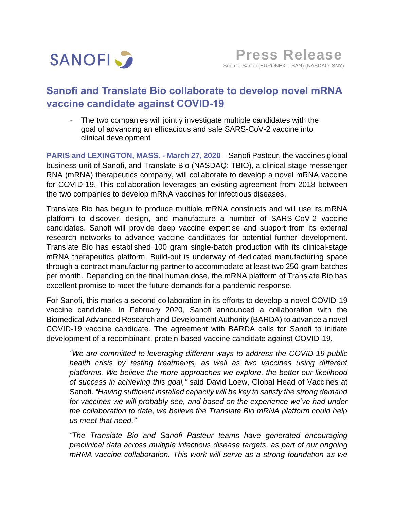

# **Sanofi and Translate Bio collaborate to develop novel mRNA vaccine candidate against COVID-19**

 The two companies will jointly investigate multiple candidates with the goal of advancing an efficacious and safe SARS-CoV-2 vaccine into clinical development

**PARIS and LEXINGTON, MASS. - March 27, 2020** – Sanofi Pasteur, the vaccines global business unit of Sanofi, and Translate Bio (NASDAQ: TBIO), a clinical-stage messenger RNA (mRNA) therapeutics company, will collaborate to develop a novel mRNA vaccine for COVID-19. This collaboration leverages an existing agreement from 2018 between the two companies to develop mRNA vaccines for infectious diseases.

Translate Bio has begun to produce multiple mRNA constructs and will use its mRNA platform to discover, design, and manufacture a number of SARS-CoV-2 vaccine candidates. Sanofi will provide deep vaccine expertise and support from its external research networks to advance vaccine candidates for potential further development. Translate Bio has established 100 gram single-batch production with its clinical-stage mRNA therapeutics platform. Build-out is underway of dedicated manufacturing space through a contract manufacturing partner to accommodate at least two 250-gram batches per month. Depending on the final human dose, the mRNA platform of Translate Bio has excellent promise to meet the future demands for a pandemic response.

For Sanofi, this marks a second collaboration in its efforts to develop a novel COVID-19 vaccine candidate. In February 2020, Sanofi announced a collaboration with the Biomedical Advanced Research and Development Authority (BARDA) to advance a novel COVID-19 vaccine candidate. The agreement with BARDA calls for Sanofi to initiate development of a recombinant, protein-based vaccine candidate against COVID-19.

*"We are committed to leveraging different ways to address the COVID-19 public health crisis by testing treatments, as well as two vaccines using different platforms. We believe the more approaches we explore, the better our likelihood of success in achieving this goal,"* said David Loew, Global Head of Vaccines at Sanofi. *"Having sufficient installed capacity will be key to satisfy the strong demand for vaccines we will probably see, and based on the experience we've had under the collaboration to date, we believe the Translate Bio mRNA platform could help us meet that need."*

*"The Translate Bio and Sanofi Pasteur teams have generated encouraging preclinical data across multiple infectious disease targets, as part of our ongoing mRNA vaccine collaboration. This work will serve as a strong foundation as we*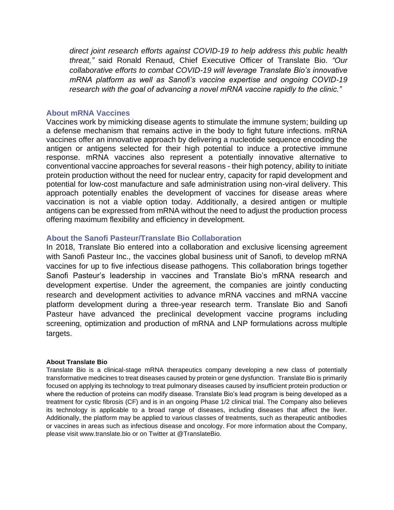*direct joint research efforts against COVID-19 to help address this public health threat,"* said Ronald Renaud, Chief Executive Officer of Translate Bio. *"Our collaborative efforts to combat COVID-19 will leverage Translate Bio's innovative mRNA platform as well as Sanofi's vaccine expertise and ongoing COVID-19 research with the goal of advancing a novel mRNA vaccine rapidly to the clinic."*

## **About mRNA Vaccines**

Vaccines work by mimicking disease agents to stimulate the immune system; building up a defense mechanism that remains active in the body to fight future infections. mRNA vaccines offer an innovative approach by delivering a nucleotide sequence encoding the antigen or antigens selected for their high potential to induce a protective immune response. mRNA vaccines also represent a potentially innovative alternative to conventional vaccine approaches for several reasons - their high potency, ability to initiate protein production without the need for nuclear entry, capacity for rapid development and potential for low-cost manufacture and safe administration using non-viral delivery. This approach potentially enables the development of vaccines for disease areas where vaccination is not a viable option today. Additionally, a desired antigen or multiple antigens can be expressed from mRNA without the need to adjust the production process offering maximum flexibility and efficiency in development.

## **About the Sanofi Pasteur/Translate Bio Collaboration**

In 2018, Translate Bio entered into a collaboration and exclusive licensing agreement with Sanofi Pasteur Inc., the vaccines global business unit of Sanofi, to develop mRNA vaccines for up to five infectious disease pathogens. This collaboration brings together Sanofi Pasteur's leadership in vaccines and Translate Bio's mRNA research and development expertise. Under the agreement, the companies are jointly conducting research and development activities to advance mRNA vaccines and mRNA vaccine platform development during a three-year research term. Translate Bio and Sanofi Pasteur have advanced the preclinical development vaccine programs including screening, optimization and production of mRNA and LNP formulations across multiple targets.

### **About Translate Bio**

Translate Bio is a clinical-stage mRNA therapeutics company developing a new class of potentially transformative medicines to treat diseases caused by protein or gene dysfunction. Translate Bio is primarily focused on applying its technology to treat pulmonary diseases caused by insufficient protein production or where the reduction of proteins can modify disease. Translate Bio's lead program is being developed as a treatment for cystic fibrosis (CF) and is in an ongoing Phase 1/2 clinical trial. The Company also believes its technology is applicable to a broad range of diseases, including diseases that affect the liver. Additionally, the platform may be applied to various classes of treatments, such as therapeutic antibodies or vaccines in areas such as infectious disease and oncology. For more information about the Company, please visit www.translate.bio or on Twitter at @TranslateBio.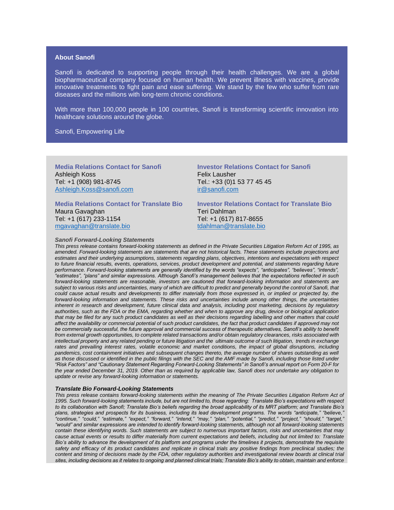#### **About Sanofi**

Sanofi is dedicated to supporting people through their health challenges. We are a global biopharmaceutical company focused on human health. We prevent illness with vaccines, provide innovative treatments to fight pain and ease suffering. We stand by the few who suffer from rare diseases and the millions with long-term chronic conditions.

With more than 100,000 people in 100 countries, Sanofi is transforming scientific innovation into healthcare solutions around the globe.

### Sanofi, Empowering Life

**Media Relations Contact for Sanofi**  Ashleigh Koss Tel: +1 (908) 981-8745 [Ashleigh.Koss@sanofi.com](mailto:Ashleigh.Koss@sanofi.com)

**Media Relations Contact for Translate Bio**  Maura Gavaghan Tel: +1 (617) 233-1154 [mgavaghan@translate.bio](mailto:mgavaghan@translate.bio)

## Felix Lausher Tel.: +33 (0)1 53 77 45 45 [ir@sanofi.com](mailto:ir@sanofi.com)

**Investor Relations Contact for Sanofi**

**Investor Relations Contact for Translate Bio** Teri Dahlman Tel: +1 (617) 817-8655 [tdahlman@translate.bio](mailto:tdahlman@translate.bio)

#### *Sanofi Forward-Looking Statements*

*This press release contains forward-looking statements as defined in the Private Securities Litigation Reform Act of 1995, as amended. Forward-looking statements are statements that are not historical facts. These statements include projections and estimates and their underlying assumptions, statements regarding plans, objectives, intentions and expectations with respect to future financial results, events, operations, services, product development and potential, and statements regarding future performance. Forward-looking statements are generally identified by the words "expects", "anticipates", "believes", "intends", "estimates", "plans" and similar expressions. Although Sanofi's management believes that the expectations reflected in such*  forward-looking statements are reasonable, investors are cautioned that forward-looking information and statements are *subject to various risks and uncertainties, many of which are difficult to predict and generally beyond the control of Sanofi, that could cause actual results and developments to differ materially from those expressed in, or implied or projected by, the forward-looking information and statements. These risks and uncertainties include among other things, the uncertainties inherent in research and development, future clinical data and analysis, including post marketing, decisions by regulatory authorities, such as the FDA or the EMA, regarding whether and when to approve any drug, device or biological application that may be filed for any such product candidates as well as their decisions regarding labelling and other matters that could affect the availability or commercial potential of such product candidates, the fact that product candidates if approved may not*  be commercially successful, the future approval and commercial success of therapeutic alternatives, Sanofi's ability to benefit *from external growth opportunities, to complete related transactions and/or obtain regulatory clearances, risks associated with*  intellectual property and any related pending or future litigation and the ultimate outcome of such litigation, trends in exchange rates and prevailing interest rates, volatile economic and market conditions, the impact of global disruptions, including pandemics, cost containment initiatives and subsequent changes thereto, the average number of shares outstanding as well *as those discussed or identified in the public filings with the SEC and the AMF made by Sanofi, including those listed under "Risk Factors" and "Cautionary Statement Regarding Forward-Looking Statements" in Sanofi's annual report on Form 20-F for the year ended December 31, 2019. Other than as required by applicable law, Sanofi does not undertake any obligation to update or revise any forward-looking information or statements.*

#### *Translate Bio Forward-Looking Statements*

*This press release contains forward-looking statements within the meaning of The Private Securities Litigation Reform Act of 1995. Such forward-looking statements include, but are not limited to, those regarding: Translate Bio's expectations with respect to its collaboration with Sanofi; Translate Bio's beliefs regarding the broad applicability of its MRT platform; and Translate Bio's plans, strategies and prospects for its business, including its lead development programs. The words "anticipate," "believe," "continue," "could," "estimate," "expect," "forward," "intend," "may," "plan," "potential," "predict," "project," "should," "target," "would" and similar expressions are intended to identify forward-looking statements, although not all forward-looking statements contain these identifying words. Such statements are subject to numerous important factors, risks and uncertainties that may cause actual events or results to differ materially from current expectations and beliefs, including but not limited to: Translate*  Bio's ability to advance the development of its platform and programs under the timelines it projects, demonstrate the requisite *safety and efficacy of its product candidates and replicate in clinical trials any positive findings from preclinical studies; the content and timing of decisions made by the FDA, other regulatory authorities and investigational review boards at clinical trial sites, including decisions as it relates to ongoing and planned clinical trials; Translate Bio's ability to obtain, maintain and enforce*